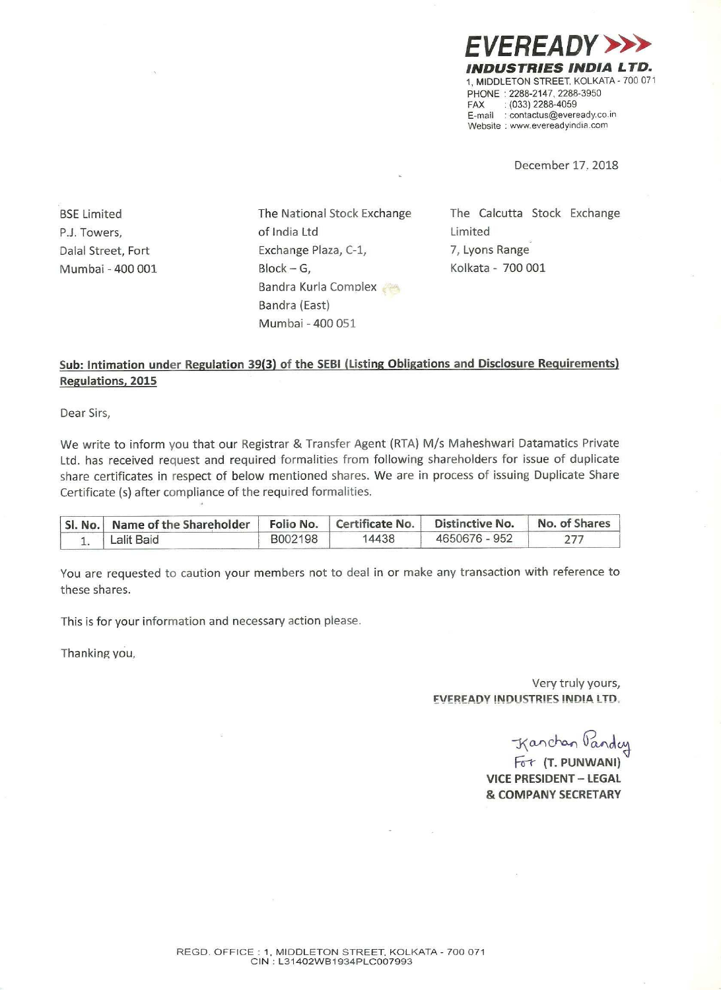**EREADY>** INDUSTRIES INDIA L TD. 1, MIDDLETON STREET, KOLKATA - 700 071 PHONE '2288-2147. 2288-3950  $FAX$  : (033) 2288-4059 E-mail : contactus@eveready.co.ir Website : www.evereadyindia.com

December 17. 2018

BSE Limited PJ. Towers, Dalal Street, Fort Mumbai - 400 001 The National Stock Exchange of India Ltd Exchange Plaza, C-l, Block — G, Bandra Kurla Complex Bandra (East) Mumbai ~400 051

The Calcutta Stock Exchange Limited 7, Lyons Range; Kolkata - 700 001

## Regulations, 2015 Sub: Intimation under Regulation 39(3) of the SEBI (Listing Obligations and Disclosure Requirements)

Dear Sirs,

We write to inform you that our Registrar & Transfer Agent (RTA) M/s Maheshwari Datamatics Private Ltd. has received request and required formalities from following shareholders for issue of duplicate share certificates in respect of below mentioned shares. We are in process of issuing Duplicate Share Certificate (5) after compliance of the required formalities.

| 'SI. No.   Name of the Shareholder   Folio No.   Certificate No. |         |       | Distinctive No. | No. of Shares |
|------------------------------------------------------------------|---------|-------|-----------------|---------------|
| Lalit Baid                                                       | B002198 | 14438 | 4650676 - 952   |               |

You are requested to caution your members not to deal in or make any transaction with reference to these shares.

This is for your information and necessary action please.

Thanking you,

Very truly yours, **EVEREADY INDUSTRIES INDIA LTD.** 

Kanchan Panday

Fot (T. PUNWANI) VICE PRESIDENT — LEGAL & COMPANY SECRETARY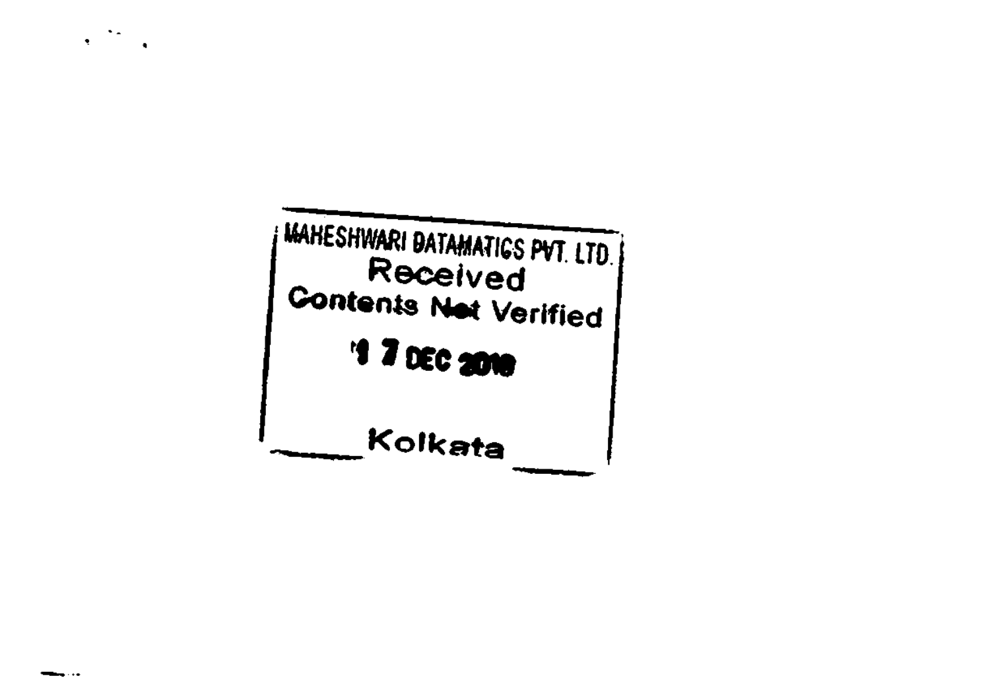

 $\mathcal{M}_{\mathcal{A}}$  $\bullet$  .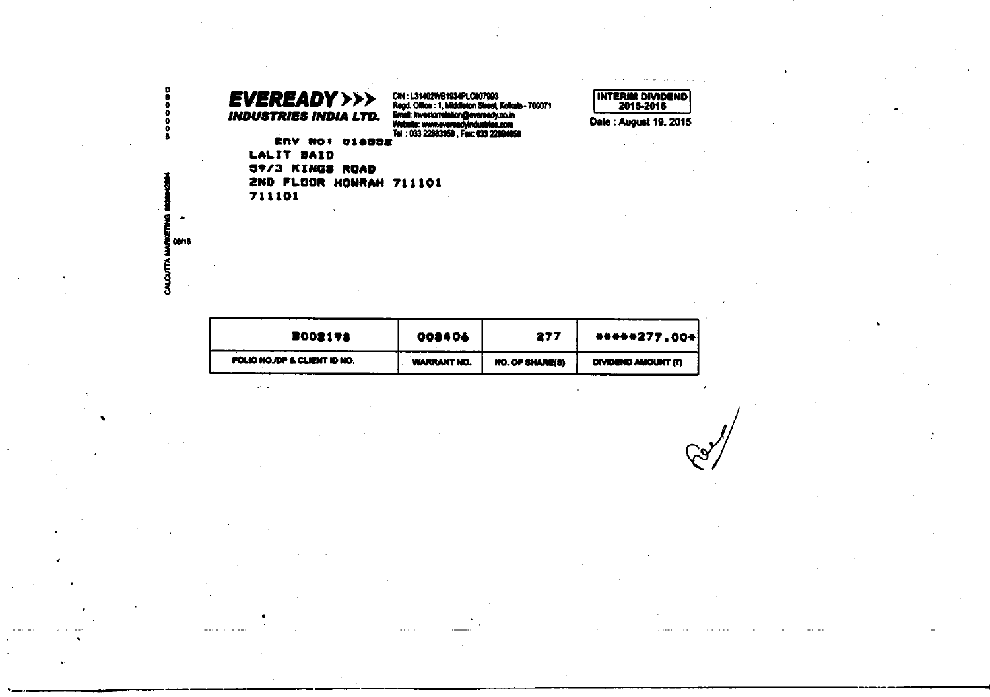## CIN : L31402WB1934PLC007993<br>Regd. Office : 1, Middleton Street, Kolkate - 700071<br>Email: investorrelation@evereedy.co.in<br>Website: www.evereedyindustries.com<br>\_Tel : 033 22883950 , Fax: 033 22884059 **EVEREADY>>> INDUSTRIES INDIA LTD.** ERV NO! 016332 LALIT BAID 59/3 KINGS ROAD 2ND FLOOR HOWRAH 711101 711101

| B002178                     | 008406             | 277             | *****277.00*             |
|-----------------------------|--------------------|-----------------|--------------------------|
| FOLIO NOJDP & CLIENT ID NO. | <b>WARRANT NO.</b> | NO. OF SHARE(8) | <b>OWDEND AMOUNT (T)</b> |

INTERIM DIVIDEND

Date: August 19, 2015

WANETWO CALCUTTA

D.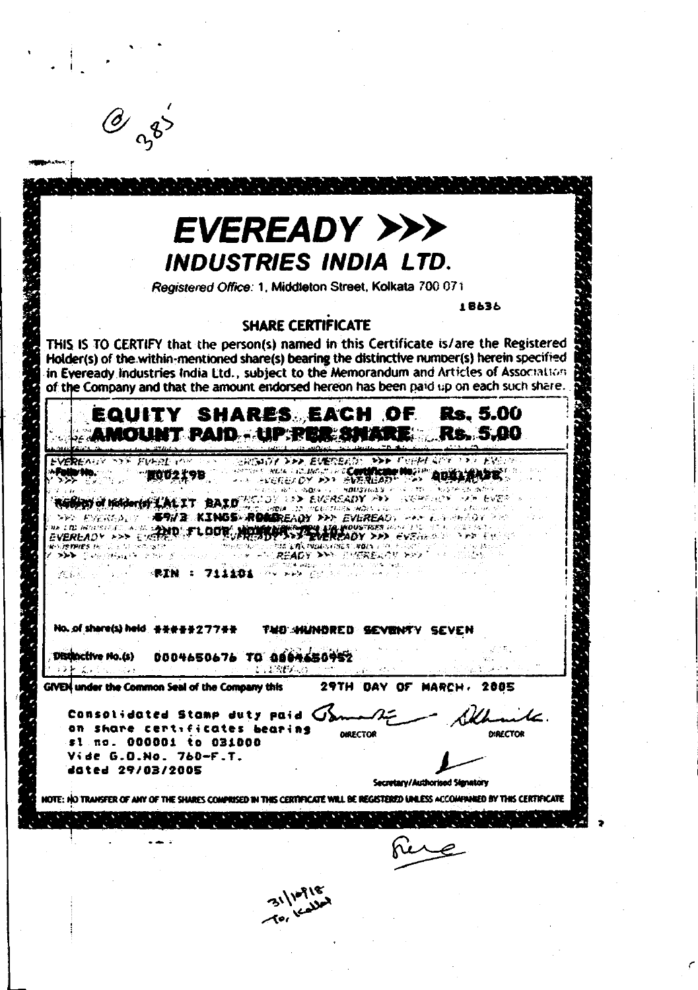|                                                                                                                                                                         | EVEREADY >>>                                                                                                                                                                                                                                                                                                                                                                                              |                                |                             |
|-------------------------------------------------------------------------------------------------------------------------------------------------------------------------|-----------------------------------------------------------------------------------------------------------------------------------------------------------------------------------------------------------------------------------------------------------------------------------------------------------------------------------------------------------------------------------------------------------|--------------------------------|-----------------------------|
|                                                                                                                                                                         | <b>INDUSTRIES INDIA LTD.</b>                                                                                                                                                                                                                                                                                                                                                                              |                                |                             |
|                                                                                                                                                                         | Registered Office: 1, Middleton Street, Kolkata 700 071                                                                                                                                                                                                                                                                                                                                                   |                                |                             |
|                                                                                                                                                                         | <b>SHARE CERTIFICATE</b><br>THIS IS TO CERTIFY that the person(s) named in this Certificate is/are the Registered<br>Holder(s) of the within-mentioned share(s) bearing the distinctive number(s) herein specified<br>in Eveready Industries India Ltd., subject to the Memorandum and Articles of Association<br>of the Company and that the amount endorsed hereon has been paid up on each such share. |                                | 18636                       |
|                                                                                                                                                                         | EQUITY SHARES EACH OF<br><b>" PAIDLIP PER SA</b>                                                                                                                                                                                                                                                                                                                                                          |                                | <b>Rs. 5.00</b><br>Rs. 5,00 |
|                                                                                                                                                                         | HISTORY DIRECTORY BASE AND LOCATED<br><b>INCHE LEADER TO A TELEVISION</b>                                                                                                                                                                                                                                                                                                                                 | マント・アージング ミクラーフ アラードミ          |                             |
|                                                                                                                                                                         | ・・・ ……それをたひと メント そんかえにあわれ<br>13D EUFREADY 292                                                                                                                                                                                                                                                                                                                                                             | <b>以前学习程序</b>                  |                             |
|                                                                                                                                                                         | ILT BAI<br>conductivities and be a ra-<br>WE KINGS ROMAREADY FER EVEREADY                                                                                                                                                                                                                                                                                                                                 | in Albert Albert He            |                             |
| (西方) 经上海                                                                                                                                                                | ND TLOOR NOWKKA YRANOUSTRES                                                                                                                                                                                                                                                                                                                                                                               |                                |                             |
| <b>DOMESTIC AND PROVIDENT OF STATE OF</b>                                                                                                                               | EM LACINOUS ONES INDIA 2002.<br>FOUREADY XXX PHEREUGH XXX                                                                                                                                                                                                                                                                                                                                                 |                                |                             |
| -RIN 8                                                                                                                                                                  |                                                                                                                                                                                                                                                                                                                                                                                                           |                                |                             |
|                                                                                                                                                                         |                                                                                                                                                                                                                                                                                                                                                                                                           |                                |                             |
| No. of share(s) held. 공동품품물277품품.                                                                                                                                       |                                                                                                                                                                                                                                                                                                                                                                                                           | TWO WINNORED SEVENTY SEVEN     |                             |
|                                                                                                                                                                         |                                                                                                                                                                                                                                                                                                                                                                                                           |                                |                             |
|                                                                                                                                                                         | 2011   1949 <u>  1950</u>                                                                                                                                                                                                                                                                                                                                                                                 | <b>Contract Contract</b>       |                             |
|                                                                                                                                                                         |                                                                                                                                                                                                                                                                                                                                                                                                           |                                |                             |
|                                                                                                                                                                         | GIVEN under the Common Seal of the Company this 29TH DAY OF MARCH. 2005                                                                                                                                                                                                                                                                                                                                   |                                |                             |
|                                                                                                                                                                         | Consolidated Stamp duty paid $G'$                                                                                                                                                                                                                                                                                                                                                                         |                                |                             |
|                                                                                                                                                                         |                                                                                                                                                                                                                                                                                                                                                                                                           | <b>DIRECTOR</b>                | <b>DIRECTOR</b>             |
|                                                                                                                                                                         |                                                                                                                                                                                                                                                                                                                                                                                                           |                                |                             |
| Distinctive No.(s) 0004650676 TO 0004650952<br>おとれ てんしゅう スパート<br>on share certificates bearing<br>\$1 no. 000001 to 031000<br>Vide G.O.No. 760-F.T.<br>dated 29/03/2005 |                                                                                                                                                                                                                                                                                                                                                                                                           | Secretary/Authorised Signatory |                             |
|                                                                                                                                                                         | NOTE: HO TRANSFER OF ANY OF THE SHARES COMPRISED IN THIS CERTIFICATE WILL BE REGISTERED UNLESS ACCOMPANIED BY THIS CERTIFICATE                                                                                                                                                                                                                                                                            |                                |                             |
|                                                                                                                                                                         |                                                                                                                                                                                                                                                                                                                                                                                                           |                                |                             |
|                                                                                                                                                                         |                                                                                                                                                                                                                                                                                                                                                                                                           |                                |                             |
|                                                                                                                                                                         |                                                                                                                                                                                                                                                                                                                                                                                                           |                                |                             |

 $\label{eq:2} \frac{1}{2} \sum_{i=1}^n \frac{1}{2} \sum_{j=1}^n \frac{1}{2} \sum_{j=1}^n \frac{1}{2} \sum_{j=1}^n \frac{1}{2} \sum_{j=1}^n \frac{1}{2} \sum_{j=1}^n \frac{1}{2} \sum_{j=1}^n \frac{1}{2} \sum_{j=1}^n \frac{1}{2} \sum_{j=1}^n \frac{1}{2} \sum_{j=1}^n \frac{1}{2} \sum_{j=1}^n \frac{1}{2} \sum_{j=1}^n \frac{1}{2} \sum_{j=1}^n \frac{1}{$ 

 $\frac{1}{\sqrt{2}}$ 

 $\label{eq:2} \frac{1}{\sqrt{2}}\sum_{i=1}^n \frac{1}{\sqrt{2}}\sum_{j=1}^n \frac{1}{j!}\sum_{j=1}^n \frac{1}{j!}\sum_{j=1}^n \frac{1}{j!}\sum_{j=1}^n \frac{1}{j!}\sum_{j=1}^n \frac{1}{j!}\sum_{j=1}^n \frac{1}{j!}\sum_{j=1}^n \frac{1}{j!}\sum_{j=1}^n \frac{1}{j!}\sum_{j=1}^n \frac{1}{j!}\sum_{j=1}^n \frac{1}{j!}\sum_{j=1}^n \frac{1}{j!}\sum_{j=1}^$ 

 $\begin{aligned} \mathcal{L}_{\text{max}}(\mathbf{X},\mathbf{X}) = \mathcal{L}_{\text{max}}(\mathbf{X},\mathbf{X}) \end{aligned}$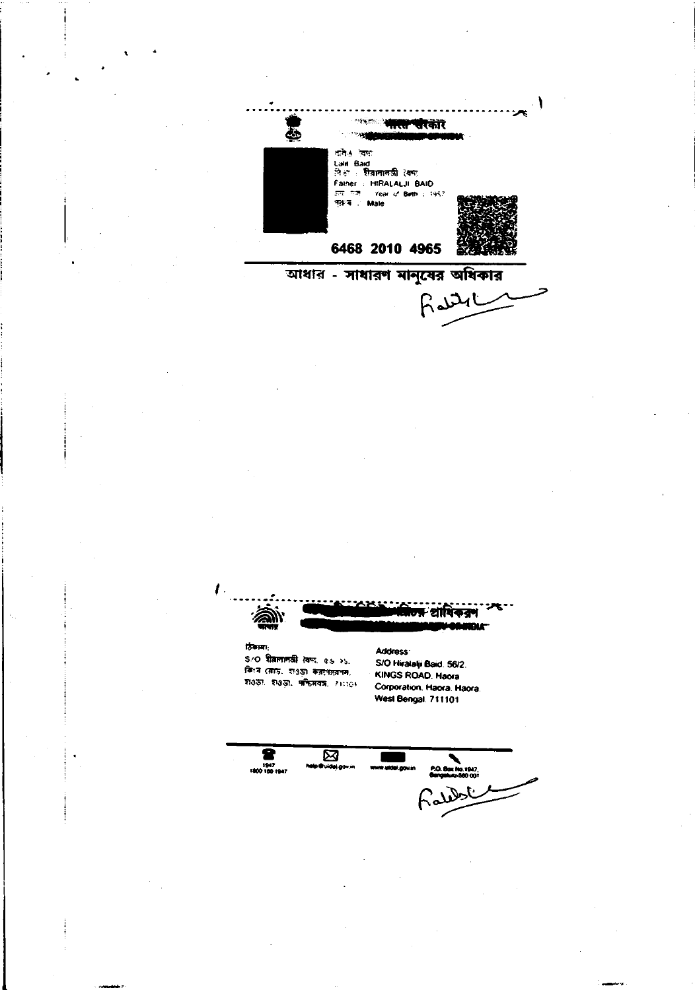**CONC े नारा परकार**  $\ddot{\bullet}$ শ্ৰমিঙ বৈদ্য ালার বেগ<br>Lain Bad<br>লিকা : মীরাবাবরী বৈশ্য<br>Faiher : HIRALALJI BAID<br>লাকার : Male Year of Birth : 1957 6468 2010 4965 আধার - সাধারণ মানুষের অধিকার

Rattle

शा

## छिकामा:

S/O शैतानानकी (बना. es >5. किथ्म (बाद्र, श3छा कवरपात्वनम,  $71337$ ,  $71337$ ,  $777477$ ,  $711101$  Address: S/O Hiralalji Baid. 56/2. KINGS ROAD, Haora Corporation, Haora, Haora. West Bengal, 711101

 $\begin{array}{c}\n\hline\n\text{Q} \\
\hline\n\text{Q} \\
\text{I400} \\
\text{I401} \\
\text{I401} \\
\hline\n\end{array}$  $\overline{\mathbb{R}}$ P.O. Box No.1947 يم لماشده